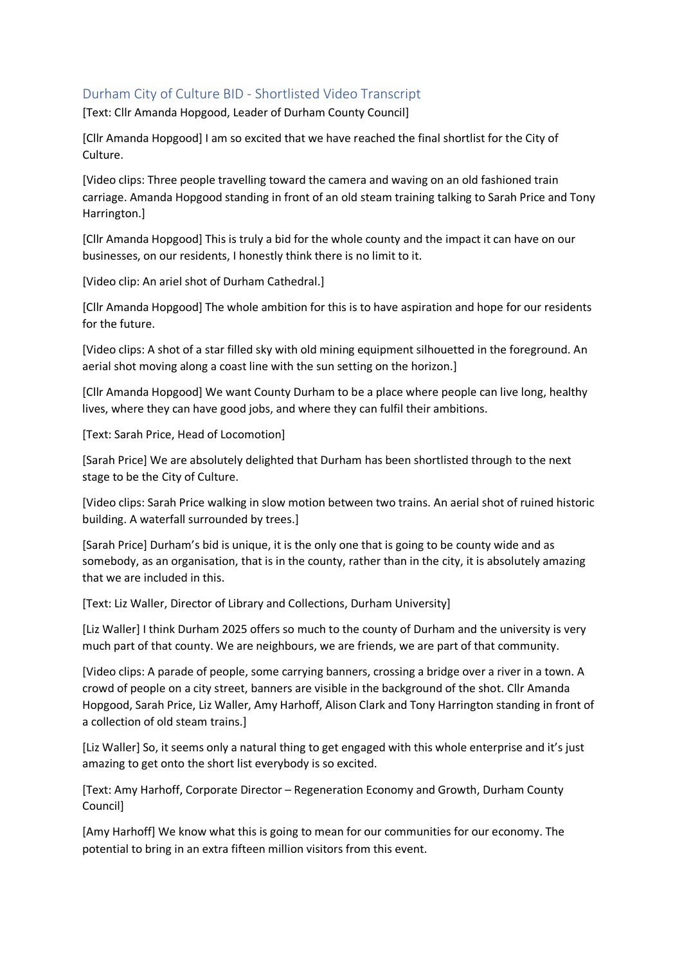## Durham City of Culture BID - Shortlisted Video Transcript

[Text: Cllr Amanda Hopgood, Leader of Durham County Council]

[Cllr Amanda Hopgood] I am so excited that we have reached the final shortlist for the City of Culture.

[Video clips: Three people travelling toward the camera and waving on an old fashioned train carriage. Amanda Hopgood standing in front of an old steam training talking to Sarah Price and Tony Harrington.]

[Cllr Amanda Hopgood] This is truly a bid for the whole county and the impact it can have on our businesses, on our residents, I honestly think there is no limit to it.

[Video clip: An ariel shot of Durham Cathedral.]

[Cllr Amanda Hopgood] The whole ambition for this is to have aspiration and hope for our residents for the future.

[Video clips: A shot of a star filled sky with old mining equipment silhouetted in the foreground. An aerial shot moving along a coast line with the sun setting on the horizon.]

[Cllr Amanda Hopgood] We want County Durham to be a place where people can live long, healthy lives, where they can have good jobs, and where they can fulfil their ambitions.

[Text: Sarah Price, Head of Locomotion]

[Sarah Price] We are absolutely delighted that Durham has been shortlisted through to the next stage to be the City of Culture.

[Video clips: Sarah Price walking in slow motion between two trains. An aerial shot of ruined historic building. A waterfall surrounded by trees.]

[Sarah Price] Durham's bid is unique, it is the only one that is going to be county wide and as somebody, as an organisation, that is in the county, rather than in the city, it is absolutely amazing that we are included in this.

[Text: Liz Waller, Director of Library and Collections, Durham University]

[Liz Waller] I think Durham 2025 offers so much to the county of Durham and the university is very much part of that county. We are neighbours, we are friends, we are part of that community.

[Video clips: A parade of people, some carrying banners, crossing a bridge over a river in a town. A crowd of people on a city street, banners are visible in the background of the shot. Cllr Amanda Hopgood, Sarah Price, Liz Waller, Amy Harhoff, Alison Clark and Tony Harrington standing in front of a collection of old steam trains.]

[Liz Waller] So, it seems only a natural thing to get engaged with this whole enterprise and it's just amazing to get onto the short list everybody is so excited.

[Text: Amy Harhoff, Corporate Director – Regeneration Economy and Growth, Durham County Council]

[Amy Harhoff] We know what this is going to mean for our communities for our economy. The potential to bring in an extra fifteen million visitors from this event.